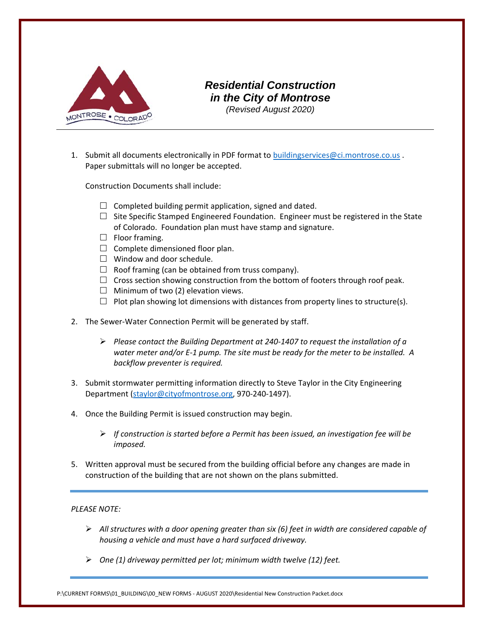

# *Residential Construction in the City of Montrose (Revised August 2020)*

1. Submit all documents electronically in PDF format to buildingservices@ci.montrose.co.us. Paper submittals will no longer be accepted.

Construction Documents shall include:

- $\Box$  Completed building permit application, signed and dated.
- $\Box$  Site Specific Stamped Engineered Foundation. Engineer must be registered in the State of Colorado. Foundation plan must have stamp and signature.
- $\Box$  Floor framing.
- $\Box$  Complete dimensioned floor plan.
- $\Box$  Window and door schedule.
- $\Box$  Roof framing (can be obtained from truss company).
- $\Box$  Cross section showing construction from the bottom of footers through roof peak.
- $\Box$  Minimum of two (2) elevation views.
- $\Box$  Plot plan showing lot dimensions with distances from property lines to structure(s).
- 2. The Sewer-Water Connection Permit will be generated by staff.
	- *Please contact the Building Department at 240‐1407 to request the installation of a water meter and/or E‐1 pump. The site must be ready for the meter to be installed. A backflow preventer is required.*
- 3. Submit stormwater permitting information directly to Steve Taylor in the City Engineering Department (staylor@cityofmontrose.org, 970-240-1497).
- 4. Once the Building Permit is issued construction may begin.
	- *If construction is started before a Permit has been issued, an investigation fee will be imposed.*
- 5. Written approval must be secured from the building official before any changes are made in construction of the building that are not shown on the plans submitted.

#### *PLEASE NOTE:*

- *All structures with a door opening greater than six (6) feet in width are considered capable of housing a vehicle and must have a hard surfaced driveway.*
- *One (1) driveway permitted per lot; minimum width twelve (12) feet.*

P:\CURRENT FORMS\01\_BUILDING\00\_NEW FORMS ‐ AUGUST 2020\Residential New Construction Packet.docx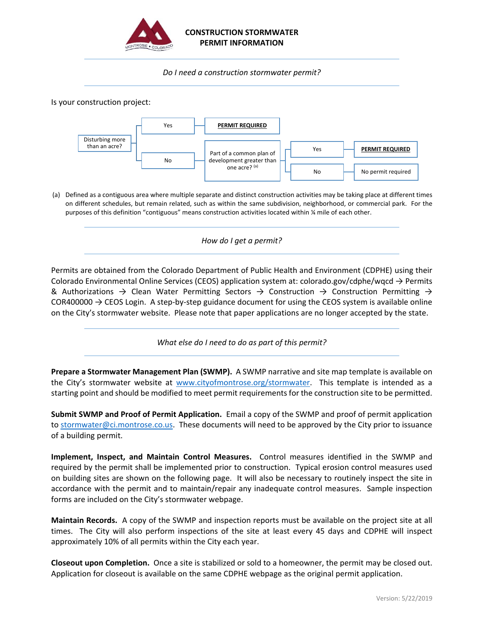

### **CONSTRUCTION STORMWATER PERMIT INFORMATION**

*Do I need a construction stormwater permit?*

Is your construction project:



(a) Defined as a contiguous area where multiple separate and distinct construction activities may be taking place at different times on different schedules, but remain related, such as within the same subdivision, neighborhood, or commercial park. For the purposes of this definition "contiguous" means construction activities located within ¼ mile of each other.

*How do I get a permit?*

Permits are obtained from the Colorado Department of Public Health and Environment (CDPHE) using their Colorado Environmental Online Services (CEOS) application system at: colorado.gov/cdphe/wqcd  $\rightarrow$  Permits & Authorizations  $\rightarrow$  Clean Water Permitting Sectors  $\rightarrow$  Construction  $\rightarrow$  Construction Permitting  $\rightarrow$ COR400000  $\rightarrow$  CEOS Login. A step-by-step guidance document for using the CEOS system is available online on the City's stormwater website. Please note that paper applications are no longer accepted by the state.

*What else do I need to do as part of this permit?*

**Prepare a Stormwater Management Plan (SWMP).** A SWMP narrative and site map template is available on the City's stormwater website at [www.cityofmontrose.org/stormwater.](http://www.cityofmontrose.org/stormwater) This template is intended as a starting point and should be modified to meet permit requirements for the construction site to be permitted.

**Submit SWMP and Proof of Permit Application.** Email a copy of the SWMP and proof of permit application to [stormwater@c](mailto:stormwater@ci.montrose.co.us)i.montrose.co.us. These documents will need to be approved by the City prior to issuance of a building permit.

**Implement, Inspect, and Maintain Control Measures.** Control measures identified in the SWMP and required by the permit shall be implemented prior to construction. Typical erosion control measures used on building sites are shown on the following page. It will also be necessary to routinely inspect the site in accordance with the permit and to maintain/repair any inadequate control measures. Sample inspection forms are included on the City's stormwater webpage.

**Maintain Records.** A copy of the SWMP and inspection reports must be available on the project site at all times. The City will also perform inspections of the site at least every 45 days and CDPHE will inspect approximately 10% of all permits within the City each year.

**Closeout upon Completion.** Once a site is stabilized or sold to a homeowner, the permit may be closed out. Application for closeout is available on the same CDPHE webpage as the original permit application.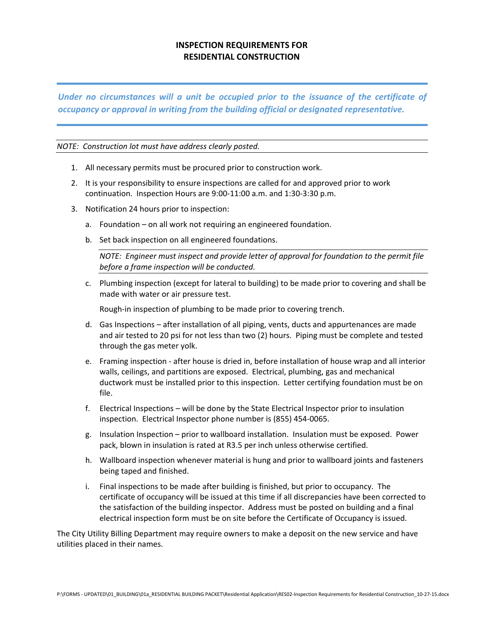## **INSPECTION REQUIREMENTS FOR RESIDENTIAL CONSTRUCTION**

*Under no circumstances will a unit be occupied prior to the issuance of the certificate of occupancy or approval in writing from the building official or designated representative.*

#### *NOTE: Construction lot must have address clearly posted.*

- 1. All necessary permits must be procured prior to construction work.
- 2. It is your responsibility to ensure inspections are called for and approved prior to work continuation. Inspection Hours are 9:00‐11:00 a.m. and 1:30‐3:30 p.m.
- 3. Notification 24 hours prior to inspection:
	- a. Foundation on all work not requiring an engineered foundation.
	- b. Set back inspection on all engineered foundations.

*NOTE: Engineer must inspect and provide letter of approval for foundation to the permit file before a frame inspection will be conducted.*

c. Plumbing inspection (except for lateral to building) to be made prior to covering and shall be made with water or air pressure test.

Rough‐in inspection of plumbing to be made prior to covering trench.

- d. Gas Inspections after installation of all piping, vents, ducts and appurtenances are made and air tested to 20 psi for not less than two (2) hours. Piping must be complete and tested through the gas meter yolk.
- e. Framing inspection ‐ after house is dried in, before installation of house wrap and all interior walls, ceilings, and partitions are exposed. Electrical, plumbing, gas and mechanical ductwork must be installed prior to this inspection. Letter certifying foundation must be on file.
- f. Electrical Inspections will be done by the State Electrical Inspector prior to insulation inspection. Electrical Inspector phone number is (855) 454‐0065.
- g. Insulation Inspection prior to wallboard installation. Insulation must be exposed. Power pack, blown in insulation is rated at R3.5 per inch unless otherwise certified.
- h. Wallboard inspection whenever material is hung and prior to wallboard joints and fasteners being taped and finished.
- i. Final inspections to be made after building is finished, but prior to occupancy. The certificate of occupancy will be issued at this time if all discrepancies have been corrected to the satisfaction of the building inspector. Address must be posted on building and a final electrical inspection form must be on site before the Certificate of Occupancy is issued.

The City Utility Billing Department may require owners to make a deposit on the new service and have utilities placed in their names.